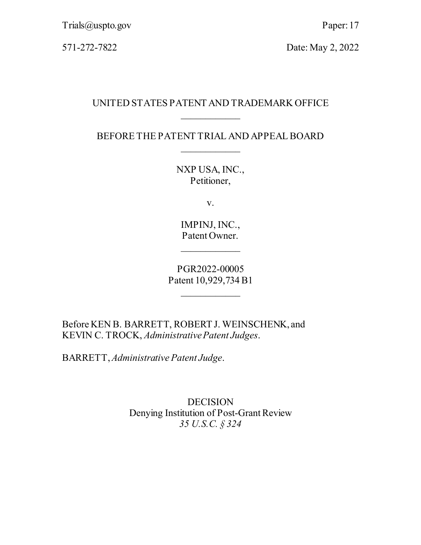571-272-7822 Date: May 2, 2022

## UNITED STATES PATENT AND TRADEMARK OFFICE  $\overline{\phantom{a}}$

BEFORE THE PATENT TRIAL AND APPEAL BOARD  $\overline{\phantom{a}}$ 

> NXP USA, INC., Petitioner,

> > v.

IMPINJ, INC., Patent Owner.

 $\overline{\phantom{a}}$ 

PGR2022-00005 Patent 10,929,734 B1

 $\overline{\phantom{a}}$ 

Before KEN B. BARRETT, ROBERT J. WEINSCHENK, and KEVIN C. TROCK, *Administrative Patent Judges*.

BARRETT, *Administrative Patent Judge*.

DECISION Denying Institution of Post-Grant Review *35 U.S.C. § 324*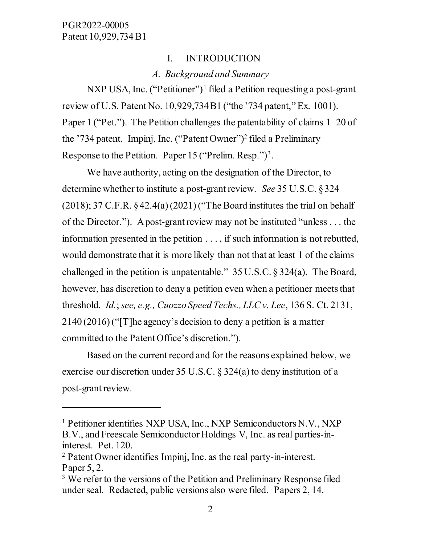$\overline{a}$ 

### I. INTRODUCTION

#### *A. Background and Summary*

NXP USA, Inc. ("Petitioner")<sup>[1](#page-1-0)</sup> filed a Petition requesting a post-grant review of U.S. Patent No. 10,929,734 B1 ("the '734 patent," Ex. 1001). Paper 1 ("Pet."). The Petition challenges the patentability of claims 1–20 of the '734 patent. Impinj, Inc. ("Patent Owner"[\)2](#page-1-1) filed a Preliminary Response to the Petition. Paper 15 ("Prelim. Resp.")<sup>[3](#page-1-2)</sup>.

We have authority, acting on the designation of the Director, to determine whether to institute a post-grant review. *See* 35 U.S.C. § 324  $(2018)$ ; 37 C.F.R.  $\frac{242.4(a)(2021)}{T}$  for Board institutes the trial on behalf of the Director."). A post-grant review may not be instituted "unless . . . the information presented in the petition . . . , if such information is not rebutted, would demonstrate that it is more likely than not that at least 1 of the claims challenged in the petition is unpatentable." 35 U.S.C. § 324(a). The Board, however, has discretion to deny a petition even when a petitioner meets that threshold. *Id.*; *see, e.g., Cuozzo Speed Techs., LLC v. Lee*, 136 S. Ct. 2131, 2140 (2016) ("[T]he agency's decision to deny a petition is a matter committed to the Patent Office's discretion.").

Based on the current record and for the reasons explained below, we exercise our discretion under 35 U.S.C. § 324(a) to deny institution of a post-grant review.

<span id="page-1-0"></span><sup>&</sup>lt;sup>1</sup> Petitioner identifies NXP USA, Inc., NXP Semiconductors N.V., NXP B.V., and Freescale Semiconductor Holdings V, Inc. as real parties-ininterest. Pet. 120.

<span id="page-1-1"></span><sup>2</sup> Patent Owner identifies Impinj, Inc. as the real party-in-interest. Paper 5, 2.

<span id="page-1-2"></span><sup>&</sup>lt;sup>3</sup> We refer to the versions of the Petition and Preliminary Response filed under seal. Redacted, public versions also were filed. Papers 2, 14.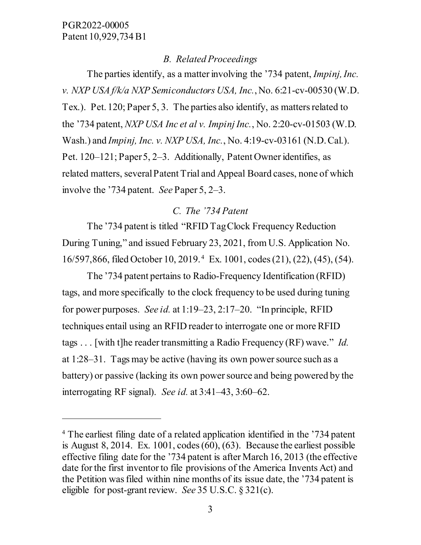$\ddot{\phantom{a}}$ 

### *B. Related Proceedings*

The parties identify, as a matter involving the '734 patent, *Impinj, Inc. v. NXP USA f/k/a NXP Semiconductors USA, Inc.*, No. 6:21-cv-00530 (W.D. Tex.). Pet. 120; Paper 5, 3. The parties also identify, as matters related to the '734 patent, *NXP USA Inc et al v. Impinj Inc.*, No. 2:20-cv-01503 (W.D. Wash.) and *Impinj, Inc. v. NXP USA, Inc.*, No. 4:19-cv-03161 (N.D. Cal.). Pet. 120–121; Paper 5, 2–3. Additionally, Patent Owner identifies, as related matters, severalPatent Trial and Appeal Board cases, none of which involve the '734 patent. *See* Paper 5, 2–3.

# *C. The '734 Patent*

The '734 patent is titled "RFID Tag Clock Frequency Reduction During Tuning," and issued February 23, 2021, from U.S. Application No. 16/597,866, filed October 10, 2019. [4](#page-2-0) Ex. 1001, codes (21), (22), (45), (54).

The '734 patent pertains to Radio-Frequency Identification (RFID) tags, and more specifically to the clock frequency to be used during tuning for power purposes. *See id.* at 1:19–23, 2:17–20. "In principle, RFID techniques entail using an RFID reader to interrogate one or more RFID tags . . . [with t]he reader transmitting a Radio Frequency (RF) wave." *Id.* at 1:28–31. Tags may be active (having its own power source such as a battery) or passive (lacking its own power source and being powered by the interrogating RF signal). *See id.* at 3:41–43, 3:60–62.

<span id="page-2-0"></span><sup>4</sup> The earliest filing date of a related application identified in the '734 patent is August 8, 2014. Ex. 1001, codes (60), (63). Because the earliest possible effective filing date for the '734 patent is after March 16, 2013 (the effective date for the first inventor to file provisions of the America Invents Act) and the Petition was filed within nine months of its issue date, the '734 patent is eligible for post-grant review. *See* 35 U.S.C. § 321(c).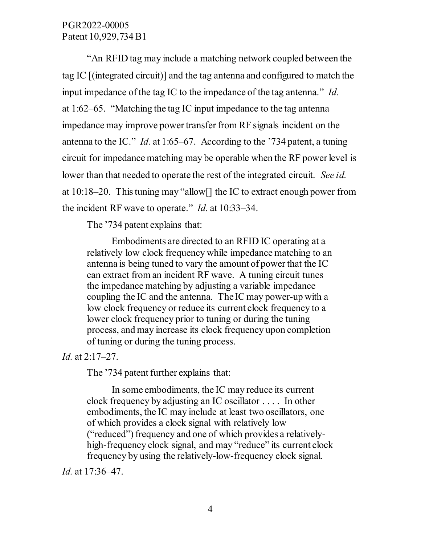"An RFID tag may include a matching network coupled between the tag IC [(integrated circuit)] and the tag antenna and configured to match the input impedance of the tag IC to the impedance of the tag antenna." *Id.* at 1:62–65. "Matching the tag IC input impedance to the tag antenna impedance may improve power transfer from RF signals incident on the antenna to the IC." *Id.* at 1:65–67. According to the '734 patent, a tuning circuit for impedance matching may be operable when the RF power level is lower than that needed to operate the rest of the integrated circuit. *See id.* at 10:18–20. This tuning may "allow[] the IC to extract enough power from the incident RF wave to operate." *Id.* at 10:33–34.

The '734 patent explains that:

Embodiments are directed to an RFID IC operating at a relatively low clock frequency while impedance matching to an antenna is being tuned to vary the amount of power that the IC can extract from an incident RF wave. A tuning circuit tunes the impedance matching by adjusting a variable impedance coupling the IC and the antenna. The IC may power-up with a low clock frequency or reduce its current clock frequency to a lower clock frequency prior to tuning or during the tuning process, and may increase its clock frequency upon completion of tuning or during the tuning process.

#### *Id.* at 2:17–27.

The '734 patent further explains that:

In some embodiments, the IC may reduce its current clock frequency by adjusting an IC oscillator . . . . In other embodiments, the IC may include at least two oscillators, one of which provides a clock signal with relatively low ("reduced") frequency and one of which provides a relativelyhigh-frequency clock signal, and may "reduce" its current clock frequency by using the relatively-low-frequency clock signal.

*Id.* at 17:36–47.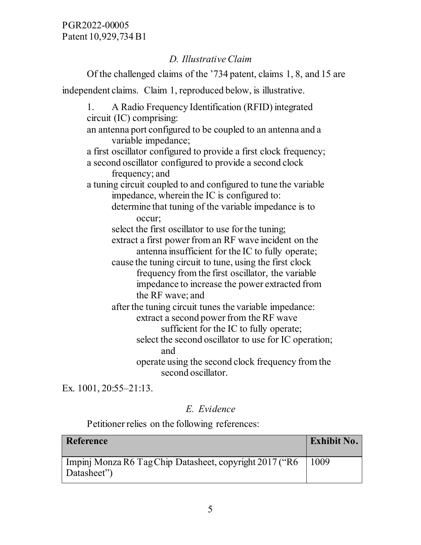# *D. Illustrative Claim*

Of the challenged claims of the '734 patent, claims 1, 8, and 15 are independent claims. Claim 1, reproduced below, is illustrative. 1. A Radio Frequency Identification (RFID) integrated circuit (IC) comprising: an antenna port configured to be coupled to an antenna and a variable impedance; a first oscillator configured to provide a first clock frequency; a second oscillator configured to provide a second clock frequency; and a tuning circuit coupled to and configured to tune the variable impedance, wherein the IC is configured to: determine that tuning of the variable impedance is to occur; select the first oscillator to use for the tuning; extract a first power from an RF wave incident on the antenna insufficient for the IC to fully operate; cause the tuning circuit to tune, using the first clock frequency from the first oscillator, the variable impedance to increase the power extracted from the RF wave; and after the tuning circuit tunes the variable impedance: extract a second power from the RF wave sufficient for the IC to fully operate; select the second oscillator to use for IC operation; and operate using the second clock frequency from the second oscillator. Ex. 1001, 20:55–21:13.

*E. Evidence* 

Petitioner relies on the following references:

| Reference                                                              | <b>Exhibit No.</b> |
|------------------------------------------------------------------------|--------------------|
| Impinj Monza R6 Tag Chip Datasheet, copyright 2017 ("R6<br>Datasheet") | 1009               |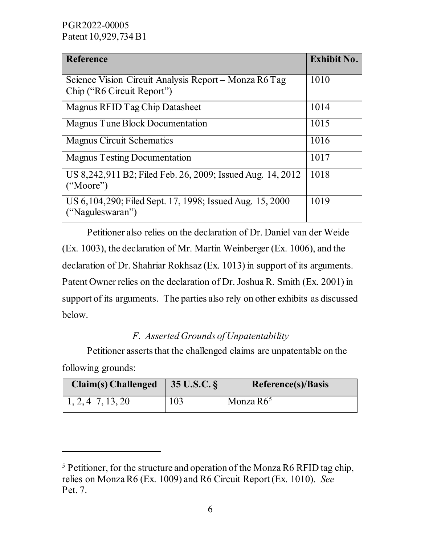$\ddot{\phantom{a}}$ 

| <b>Reference</b>                                                                    | <b>Exhibit No.</b> |
|-------------------------------------------------------------------------------------|--------------------|
| Science Vision Circuit Analysis Report – Monza R6 Tag<br>Chip ("R6 Circuit Report") | 1010               |
| Magnus RFID Tag Chip Datasheet                                                      | 1014               |
| Magnus Tune Block Documentation                                                     | 1015               |
| <b>Magnus Circuit Schematics</b>                                                    | 1016               |
| <b>Magnus Testing Documentation</b>                                                 | 1017               |
| US 8,242,911 B2; Filed Feb. 26, 2009; Issued Aug. 14, 2012<br>("Moore")             | 1018               |
| US 6, 104, 290; Filed Sept. 17, 1998; Issued Aug. 15, 2000<br>("Naguleswaran")      | 1019               |

 Petitioner also relies on the declaration of Dr. Daniel van der Weide (Ex. 1003), the declaration of Mr. Martin Weinberger (Ex. 1006), and the declaration of Dr. Shahriar Rokhsaz (Ex. 1013) in support of its arguments. Patent Owner relies on the declaration of Dr. Joshua R. Smith (Ex. 2001) in support of its arguments. The parties also rely on other exhibits as discussed below.

# *F. Asserted Grounds of Unpatentability*

 Petitioner asserts that the challenged claims are unpatentable on the following grounds:

| <b>Claim(s)</b> Challenged | $35 \text{ U.S.C.}$ | Reference(s)/Basis |
|----------------------------|---------------------|--------------------|
| 1, 2, 4–7, 13, 20          | 103                 | Monza $R65$        |

<span id="page-5-0"></span><sup>&</sup>lt;sup>5</sup> Petitioner, for the structure and operation of the Monza R6 RFID tag chip, relies on Monza R6 (Ex. 1009) and R6 Circuit Report (Ex. 1010). *See* Pet. 7.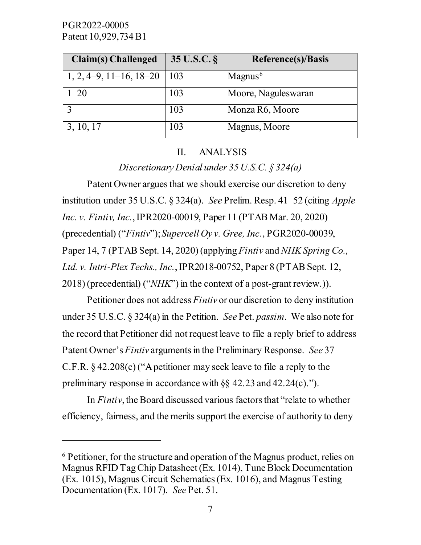$\overline{a}$ 

| Claim(s) Challenged       | 35 U.S.C. § | <b>Reference(s)/Basis</b> |
|---------------------------|-------------|---------------------------|
| $1, 2, 4-9, 11-16, 18-20$ | 103         | Magnus <sup>6</sup>       |
| $1 - 20$                  | 103         | Moore, Naguleswaran       |
|                           | 103         | Monza R6, Moore           |
| 3, 10, 17                 | 103         | Magnus, Moore             |

#### II. ANALYSIS

*Discretionary Denial under 35 U.S.C. § 324(a)* 

Patent Owner argues that we should exercise our discretion to deny institution under 35 U.S.C. § 324(a). *See* Prelim. Resp. 41–52 (citing *Apple Inc. v. Fintiv, Inc.*, IPR2020-00019, Paper 11 (PTAB Mar. 20, 2020) (precedential) ("*Fintiv*"); *Supercell Oy v. Gree, Inc.*, PGR2020-00039, Paper 14, 7 (PTAB Sept. 14, 2020) (applying *Fintiv* and *NHK Spring Co., Ltd. v. Intri-Plex Techs., Inc.*, IPR2018-00752, Paper 8 (PTAB Sept. 12, 2018) (precedential) ("*NHK*") in the context of a post-grant review.)).

Petitioner does not address *Fintiv* or our discretion to deny institution under 35 U.S.C. § 324(a) in the Petition. *See* Pet. *passim*. We also note for the record that Petitioner did not request leave to file a reply brief to address Patent Owner's *Fintiv* arguments in the Preliminary Response. *See* 37 C.F.R. § 42.208(c) ("A petitioner may seek leave to file a reply to the preliminary response in accordance with §§ 42.23 and 42.24(c).").

 In *Fintiv*, the Board discussed various factors that "relate to whether efficiency, fairness, and the merits support the exercise of authority to deny

<span id="page-6-0"></span><sup>6</sup> Petitioner, for the structure and operation of the Magnus product, relies on Magnus RFID Tag Chip Datasheet (Ex. 1014), Tune Block Documentation (Ex. 1015), Magnus Circuit Schematics (Ex. 1016), and Magnus Testing Documentation (Ex. 1017). *See* Pet. 51.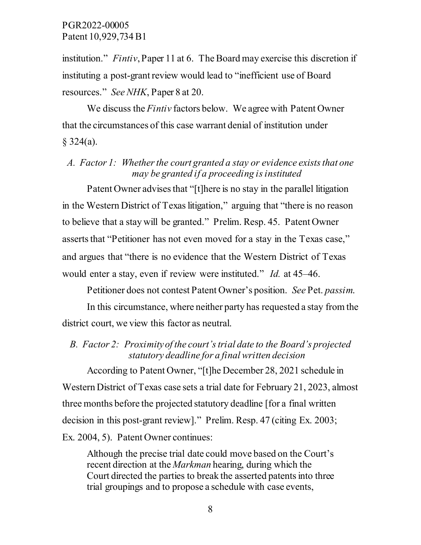institution." *Fintiv*, Paper 11 at 6. The Board may exercise this discretion if instituting a post-grant review would lead to "inefficient use of Board resources." *See NHK*, Paper 8 at 20.

We discuss the *Fintiv* factors below. We agree with Patent Owner that the circumstances of this case warrant denial of institution under  $§ 324(a).$ 

## *A. Factor 1: Whether the court granted a stay or evidence exists that one may be granted if a proceeding is instituted*

Patent Owner advises that "[t]here is no stay in the parallel litigation in the Western District of Texas litigation," arguing that "there is no reason to believe that a stay will be granted." Prelim. Resp. 45. Patent Owner asserts that "Petitioner has not even moved for a stay in the Texas case," and argues that "there is no evidence that the Western District of Texas would enter a stay, even if review were instituted." *Id.* at 45–46.

Petitioner does not contest Patent Owner's position. *See* Pet. *passim*.

In this circumstance, where neither party has requested a stay from the district court, we view this factor as neutral.

# *B. Factor 2: Proximity of the court's trial date to the Board's projected statutory deadline for a final written decision*

According to Patent Owner, "[t]he December 28, 2021 schedule in Western District of Texas case sets a trial date for February 21, 2023, almost three months before the projected statutory deadline [for a final written decision in this post-grant review]." Prelim. Resp. 47 (citing Ex. 2003; Ex. 2004, 5). Patent Owner continues:

Although the precise trial date could move based on the Court's recent direction at the *Markman* hearing, during which the Court directed the parties to break the asserted patents into three trial groupings and to propose a schedule with case events,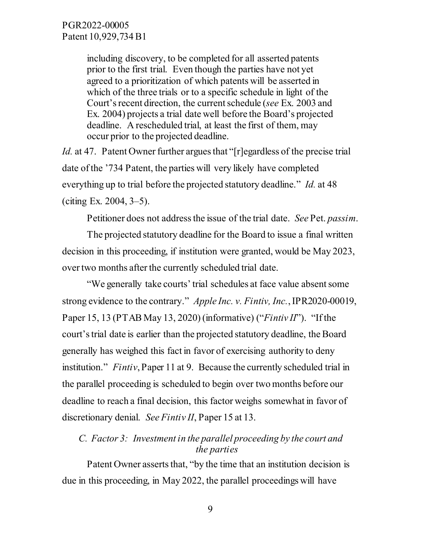including discovery, to be completed for all asserted patents prior to the first trial. Even though the parties have not yet agreed to a prioritization of which patents will be asserted in which of the three trials or to a specific schedule in light of the Court's recent direction, the current schedule (*see* Ex. 2003 and Ex. 2004) projects a trial date well before the Board's projected deadline. A rescheduled trial, at least the first of them, may occur prior to the projected deadline.

*Id.* at 47. Patent Owner further argues that "[r]egardless of the precise trial date of the '734 Patent, the parties will very likely have completed everything up to trial before the projected statutory deadline." *Id.* at 48 (citing Ex. 2004, 3–5).

Petitioner does not address the issue of the trial date. *See* Pet. *passim*.

The projected statutory deadline for the Board to issue a final written decision in this proceeding, if institution were granted, would be May 2023, over two months after the currently scheduled trial date.

"We generally take courts' trial schedules at face value absent some strong evidence to the contrary." *Apple Inc. v. Fintiv, Inc.*, IPR2020-00019, Paper 15, 13 (PTAB May 13, 2020) (informative) ("*Fintiv II*"). "If the court's trial date is earlier than the projected statutory deadline, the Board generally has weighed this fact in favor of exercising authority to deny institution." *Fintiv*, Paper 11 at 9. Because the currently scheduled trial in the parallel proceeding is scheduled to begin over two months before our deadline to reach a final decision, this factor weighs somewhat in favor of discretionary denial. *See Fintiv II*, Paper 15 at 13.

## *C. Factor 3: Investment in the parallel proceeding by the court and the parties*

Patent Owner asserts that, "by the time that an institution decision is due in this proceeding, in May 2022, the parallel proceedings will have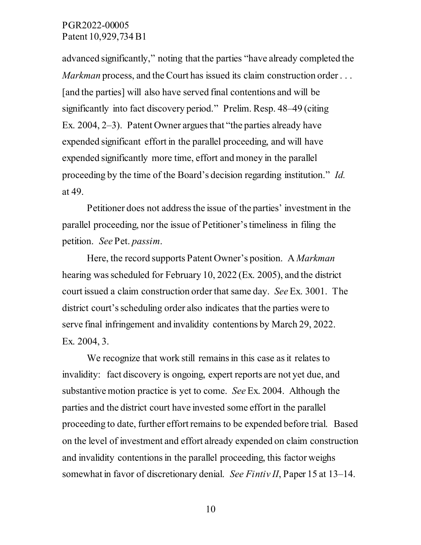advanced significantly," noting that the parties "have already completed the *Markman* process, and the Court has issued its claim construction order . . . [and the parties] will also have served final contentions and will be significantly into fact discovery period." Prelim. Resp. 48–49 (citing Ex. 2004, 2–3). Patent Owner argues that "the parties already have expended significant effort in the parallel proceeding, and will have expended significantly more time, effort and money in the parallel proceeding by the time of the Board's decision regarding institution." *Id.* at 49.

Petitioner does not address the issue of the parties' investment in the parallel proceeding, nor the issue of Petitioner's timeliness in filing the petition. *See* Pet. *passim*.

Here, the record supports Patent Owner's position. A *Markman* hearing was scheduled for February 10, 2022 (Ex. 2005), and the district court issued a claim construction order that same day. *See* Ex. 3001. The district court's scheduling order also indicates that the parties were to serve final infringement and invalidity contentions by March 29, 2022. Ex. 2004, 3.

We recognize that work still remains in this case as it relates to invalidity: fact discovery is ongoing, expert reports are not yet due, and substantive motion practice is yet to come. *See* Ex. 2004. Although the parties and the district court have invested some effort in the parallel proceeding to date, further effort remains to be expended before trial. Based on the level of investment and effort already expended on claim construction and invalidity contentions in the parallel proceeding, this factor weighs somewhat in favor of discretionary denial. *See Fintiv II*, Paper 15 at 13–14.

10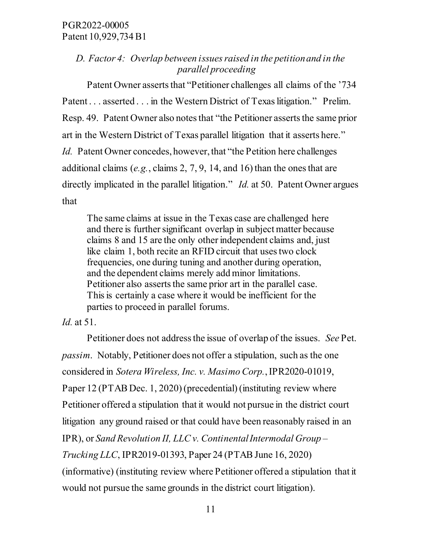# *D. Factor 4: Overlap between issues raised in the petition and in the parallel proceeding*

Patent Owner asserts that "Petitioner challenges all claims of the '734 Patent . . . asserted . . . in the Western District of Texas litigation." Prelim. Resp. 49. Patent Owner also notes that "the Petitioner asserts the same prior art in the Western District of Texas parallel litigation that it asserts here." *Id.* Patent Owner concedes, however, that "the Petition here challenges additional claims (*e.g.*, claims 2, 7, 9, 14, and 16) than the ones that are directly implicated in the parallel litigation." *Id.* at 50. Patent Owner argues that

The same claims at issue in the Texas case are challenged here and there is further significant overlap in subject matter because claims 8 and 15 are the only other independent claims and, just like claim 1, both recite an RFID circuit that uses two clock frequencies, one during tuning and another during operation, and the dependent claims merely add minor limitations. Petitioner also asserts the same prior art in the parallel case. This is certainly a case where it would be inefficient for the parties to proceed in parallel forums.

*Id.* at 51.

Petitioner does not address the issue of overlap of the issues. *See* Pet. *passim*. Notably, Petitioner does not offer a stipulation, such as the one considered in *Sotera Wireless, Inc. v. Masimo Corp.*,IPR2020-01019, Paper 12 (PTAB Dec. 1, 2020) (precedential) (instituting review where Petitioner offered a stipulation that it would not pursue in the district court litigation any ground raised or that could have been reasonably raised in an IPR), or *Sand Revolution II, LLC v. Continental Intermodal Group – Trucking LLC*, IPR2019-01393, Paper 24 (PTAB June 16, 2020) (informative) (instituting review where Petitioner offered a stipulation that it would not pursue the same grounds in the district court litigation).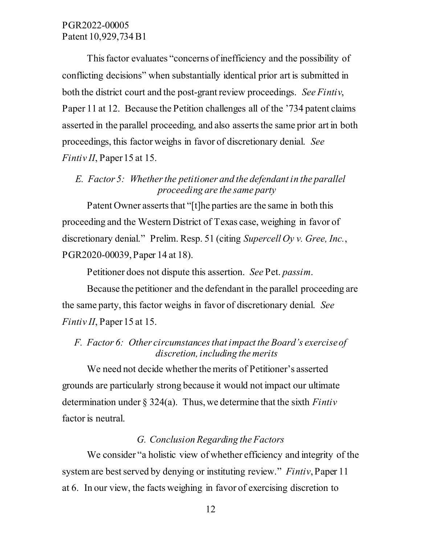This factor evaluates "concerns of inefficiency and the possibility of conflicting decisions" when substantially identical prior art is submitted in both the district court and the post-grant review proceedings. *See Fintiv*, Paper 11 at 12. Because the Petition challenges all of the '734 patent claims asserted in the parallel proceeding, and also asserts the same prior art in both proceedings, this factor weighs in favor of discretionary denial. *See Fintiv II*, Paper 15 at 15.

## *E. Factor 5: Whether the petitioner and the defendant in the parallel proceeding are the same party*

Patent Owner asserts that "[t]he parties are the same in both this proceeding and the Western District of Texas case, weighing in favor of discretionary denial." Prelim. Resp. 51 (citing *Supercell Oy v. Gree, Inc.*, PGR2020-00039, Paper 14 at 18).

Petitioner does not dispute this assertion. *See* Pet. *passim*.

Because the petitioner and the defendant in the parallel proceeding are the same party, this factor weighs in favor of discretionary denial. *See Fintiv II*, Paper 15 at 15.

## *F. Factor 6: Other circumstances that impact the Board's exercise of discretion, including the merits*

We need not decide whether the merits of Petitioner's asserted grounds are particularly strong because it would not impact our ultimate determination under § 324(a). Thus, we determine that the sixth *Fintiv* factor is neutral.

#### *G. Conclusion Regarding the Factors*

We consider "a holistic view of whether efficiency and integrity of the system are best served by denying or instituting review." *Fintiv*, Paper 11 at 6. In our view, the facts weighing in favor of exercising discretion to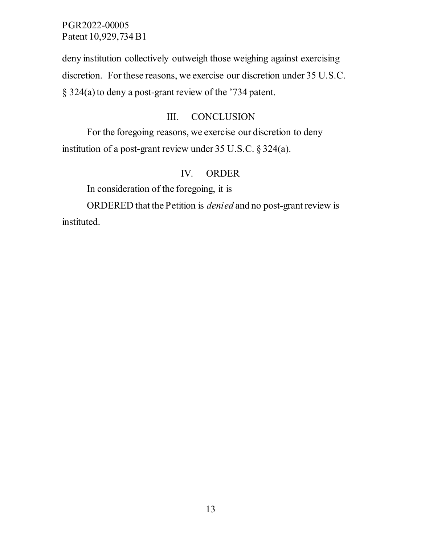deny institution collectively outweigh those weighing against exercising discretion. For these reasons, we exercise our discretion under 35 U.S.C. § 324(a) to deny a post-grant review of the '734 patent.

### III. CONCLUSION

For the foregoing reasons, we exercise our discretion to deny institution of a post-grant review under 35 U.S.C. § 324(a).

# IV. ORDER

In consideration of the foregoing, it is

ORDERED that the Petition is *denied* and no post-grant review is instituted.